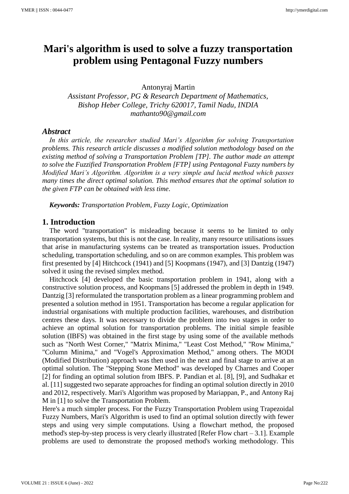# **Mari's algorithm is used to solve a fuzzy transportation problem using Pentagonal Fuzzy numbers**

Antonyraj Martin

*Assistant Professor, PG & Research Department of Mathematics, Bishop Heber College, Trichy 620017, Tamil Nadu, INDIA mathanto90@gmail.com*

## *Abstract*

*In this article, the researcher studied Mari's Algorithm for solving Transportation problems. This research article discusses a modified solution methodology based on the existing method of solving a Transportation Problem [TP]. The author made an attempt to solve the Fuzzified Transportation Problem [FTP] using Pentagonal Fuzzy numbers by Modified Mari's Algorithm. Algorithm is a very simple and lucid method which passes many times the direct optimal solution. This method ensures that the optimal solution to the given FTP can be obtained with less time.*

*Keywords: Transportation Problem, Fuzzy Logic, Optimization*

## **1. Introduction**

The word "transportation" is misleading because it seems to be limited to only transportation systems, but this is not the case. In reality, many resource utilisations issues that arise in manufacturing systems can be treated as transportation issues. Production scheduling, transportation scheduling, and so on are common examples. This problem was first presented by [4] Hitchcock (1941) and [5] Koopmans (1947), and [3] Dantzig (1947) solved it using the revised simplex method.

Hitchcock [4] developed the basic transportation problem in 1941, along with a constructive solution process, and Koopmans [5] addressed the problem in depth in 1949. Dantzig [3] reformulated the transportation problem as a linear programming problem and presented a solution method in 1951. Transportation has become a regular application for industrial organisations with multiple production facilities, warehouses, and distribution centres these days. It was necessary to divide the problem into two stages in order to achieve an optimal solution for transportation problems. The initial simple feasible solution (IBFS) was obtained in the first stage by using some of the available methods such as "North West Corner," "Matrix Minima," "Least Cost Method," "Row Minima," "Column Minima," and "Vogel's Approximation Method," among others. The MODI (Modified Distribution) approach was then used in the next and final stage to arrive at an optimal solution. The "Stepping Stone Method" was developed by Charnes and Cooper [2] for finding an optimal solution from IBFS. P. Pandian et al. [8], [9], and Sudhakar et al. [11] suggested two separate approaches for finding an optimal solution directly in 2010 and 2012, respectively. Mari's Algorithm was proposed by Mariappan, P., and Antony Raj M in [1] to solve the Transportation Problem.

Here's a much simpler process. For the Fuzzy Transportation Problem using Trapezoidal Fuzzy Numbers, Mari's Algorithm is used to find an optimal solution directly with fewer steps and using very simple computations. Using a flowchart method, the proposed method's step-by-step process is very clearly illustrated [Refer Flow chart – 3.1]. Example problems are used to demonstrate the proposed method's working methodology. This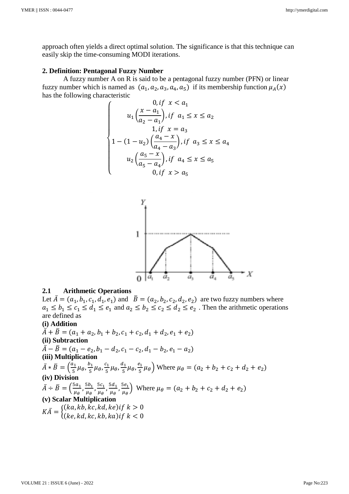approach often yields a direct optimal solution. The significance is that this technique can easily skip the time-consuming MODI iterations.

#### **2. Definition: Pentagonal Fuzzy Number**

A fuzzy number A on R is said to be a pentagonal fuzzy number (PFN) or linear fuzzy number which is named as  $(a_1, a_2, a_3, a_4, a_5)$  if its membership function  $\mu_A(x)$ has the following characteristic

$$
\begin{cases}\n0, if \ x < a_1 \\
u_1\left(\frac{x - a_1}{a_2 - a_1}\right), if \ a_1 \le x \le a_2 \\
1, if \ x = a_3 \\
1 - (1 - u_2)\left(\frac{a_4 - x}{a_4 - a_3}\right), if \ a_3 \le x \le a_4 \\
u_2\left(\frac{a_5 - x}{a_5 - a_4}\right), if \ a_4 \le x \le a_5 \\
0, if \ x > a_5\n\end{cases}
$$



#### **2.1 Arithmetic Operations**

Let  $\overline{A} = (a_1, b_1, c_1, d_1, e_1)$  and  $\overline{B} = (a_2, b_2, c_2, d_2, e_2)$  are two fuzzy numbers where  $a_1 \le b_1 \le c_1 \le d_1 \le e_1$  and  $a_2 \le b_2 \le c_2 \le d_2 \le e_2$ . Then the arithmetic operations are defined as

#### **(i) Addition**

 $\overline{A} + \overline{B} = (a_1 + a_2, b_1 + b_2, c_1 + c_2, d_1 + d_2, e_1 + e_2)$ **(ii) Subtraction**   $\overline{\overline{A}} - \overline{B} = (a_1 - e_2, b_1 - d_2, c_1 - c_2, d_1 - b_2, e_1 - a_2)$ **(iii) Multiplication**   $\bar{A} * \bar{B} = \left(\frac{a_1}{5}\right)$  $\frac{a_1}{5} \mu_\theta, \frac{b_1}{5}$  $\frac{b_1}{5} \mu_\theta, \frac{c_1}{5}$  $\frac{c_1}{5} \mu_\theta, \frac{d_1}{5}$  $\frac{d_1}{5}\mu_\theta, \frac{e_1}{5}$  $\left(\frac{e_1}{5}\mu_\theta\right)$  Where  $\mu_\theta = (a_2 + b_2 + c_2 + d_2 + e_2)$ **(iv) Division**   $\bar{A} \div \bar{B} = \left(\frac{5a_1}{n}\right)$  $\frac{5a_1}{\mu_\theta}$ ,  $\frac{5b_1}{\mu_\theta}$  $\frac{5b_1}{\mu_\theta}$ ,  $\frac{5c_1}{\mu_\theta}$  $\frac{5c_1}{\mu_\theta}$ ,  $\frac{5d_1}{\mu_\theta}$  $\frac{5d_1}{\mu_\theta}$ ,  $\frac{5e_1}{\mu_\theta}$  $\left(\frac{3e_1}{\mu_\theta}\right)$  Where  $\mu_\theta = (a_2 + b_2 + c_2 + d_2 + e_2)$ **(v) Scalar Multiplication**   $K\bar{A} = \begin{cases} (ka, kb, kc, kd, ke) \text{if } k > 0 \\ (ka, bd, ka, bh, ka) \text{if } k > 0 \end{cases}$  $(ke, kd, kc, kb, ka)$ if  $k < 0$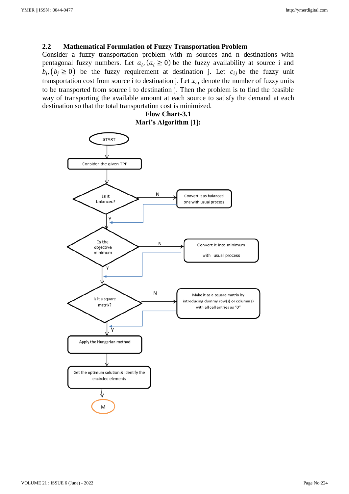#### **2.2 Mathematical Formulation of Fuzzy Transportation Problem**

Consider a fuzzy transportation problem with m sources and n destinations with pentagonal fuzzy numbers. Let  $a_i$ ,  $(a_i \ge 0)$  be the fuzzy availability at source i and  $b_j$ ,  $(b_j \ge 0)$  be the fuzzy requirement at destination j. Let  $c_{ij}$  be the fuzzy unit transportation cost from source i to destination j. Let  $x_{ij}$  denote the number of fuzzy units to be transported from source i to destination j. Then the problem is to find the feasible way of transporting the available amount at each source to satisfy the demand at each destination so that the total transportation cost is minimized.

> **Flow Chart-3.1 Mari's Algorithm [1]:**

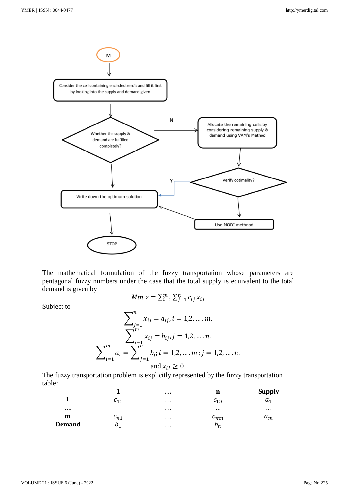

The mathematical formulation of the fuzzy transportation whose parameters are pentagonal fuzzy numbers under the case that the total supply is equivalent to the total demand is given by

*Min*  $z = \sum_{i=1}^{m} \sum_{j=1}^{n} c_{ij} x_{ij}$ 

Subject to

$$
\sum_{j=1}^{n} x_{ij} = a_{ij}, i = 1, 2, \dots, m.
$$

$$
\sum_{i=1}^{m} x_{ij} = b_{ij}, j = 1, 2, \dots, n.
$$

$$
\sum_{i=1}^{m} a_i = \sum_{j=1}^{n} b_j; i = 1, 2, \dots, m; j = 1, 2, \dots, n.
$$
and  $x_{ij} \ge 0$ .

The fuzzy transportation problem is explicitly represented by the fuzzy transportation table:

|          |          | $\cdots$ | n        | <b>Supply</b>  |
|----------|----------|----------|----------|----------------|
|          | 611      | $\cdots$ | $c_{1n}$ | a <sub>1</sub> |
| $\cdots$ |          | $\cdots$ | $\cdots$ | $\cdots$       |
| m        | $c_{n1}$ | $\cdots$ | $c_{mn}$ | $a_m$          |
| Demand   | D1       | $\cdots$ | $p_n$    |                |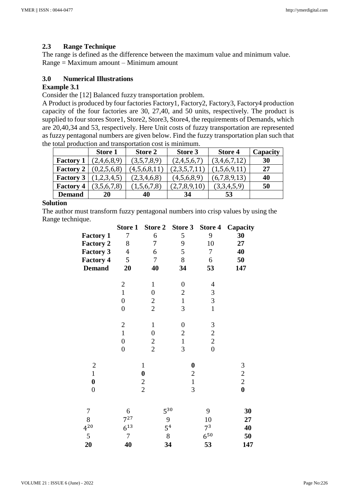# **2.3 Range Technique**

The range is defined as the difference between the maximum value and minimum value. Range = Maximum amount – Minimum amount

# **3.0 Numerical Illustrations**

# **Example 3.1**

Consider the [12] Balanced fuzzy transportation problem.

A Product is produced by four factories Factory1, Factory2, Factory3, Factory4 production capacity of the four factories are 30, 27,40, and 50 units, respectively. The product is supplied to four stores Store1, Store2, Store3, Store4, the requirements of Demands, which are 20,40,34 and 53, respectively. Here Unit costs of fuzzy transportation are represented as fuzzy pentagonal numbers are given below. Find the fuzzy transportation plan such that the total production and transportation cost is minimum.

|                  | <b>Store 1</b> | Store 2      | Store 3      | <b>Store 4</b> | Capacity |
|------------------|----------------|--------------|--------------|----------------|----------|
| <b>Factory 1</b> | (2,4,6,8,9)    | (3,5,7,8,9)  | (2,4,5,6,7)  | (3,4,6,7,12)   | 30       |
| <b>Factory 2</b> | (0,2,5,6,8)    | (4,5,6,8,11) | (2,3,5,7,11) | (1,5,6,9,11)   | 27       |
| <b>Factory 3</b> | 1,2,3,4,5)     | (2,3,4,6,8)  | (4,5,6,8,9)  | (6,7,8,9,13)   | 40       |
| <b>Factory 4</b> | (3,5,6,7,8)    | (1,5,6,7,8)  | (2,7,8,9,10) | (3,3,4,5,9)    | 50       |
| <b>Demand</b>    | 20             | 40           | 34           | 53             |          |

# **Solution**

The author must transform fuzzy pentagonal numbers into crisp values by using the Range technique.

|                  | <b>Store 1</b>   | <b>Store 2</b>   | Store 3          | Store 4        | Capacity       |
|------------------|------------------|------------------|------------------|----------------|----------------|
| <b>Factory 1</b> | 7                | 6                | 5                | 9              | 30             |
| <b>Factory 2</b> | 8                | 7                | 9                | 10             | 27             |
| <b>Factory 3</b> | $\boldsymbol{4}$ | 6                | 5                | 7              | 40             |
| <b>Factory 4</b> | 5                | $\boldsymbol{7}$ | 8                | 6              | 50             |
| <b>Demand</b>    | 20               | 40               | 34               | 53             | 147            |
|                  | $\boldsymbol{2}$ | $\mathbf{1}$     | $\boldsymbol{0}$ | $\overline{4}$ |                |
|                  | $\overline{1}$   | $\boldsymbol{0}$ | $\overline{c}$   | 3              |                |
|                  | $\overline{0}$   | $\overline{c}$   | $\mathbf{1}$     | $\overline{3}$ |                |
|                  | $\boldsymbol{0}$ | $\overline{2}$   | $\overline{3}$   | $\mathbf{1}$   |                |
|                  | $\overline{c}$   | $\mathbf{1}$     | $\boldsymbol{0}$ | $\mathfrak{Z}$ |                |
|                  | $\mathbf{1}$     | $\boldsymbol{0}$ | $\overline{c}$   | $\overline{c}$ |                |
|                  | $\boldsymbol{0}$ |                  | $\mathbf 1$      | $\overline{c}$ |                |
|                  | $\overline{0}$   | $\frac{2}{2}$    | $\overline{3}$   | $\overline{0}$ |                |
| $\boldsymbol{2}$ |                  | $\mathbf{1}$     | $\boldsymbol{0}$ |                |                |
| $\overline{1}$   |                  | $\boldsymbol{0}$ | $\overline{c}$   |                | $\frac{3}{2}$  |
| $\boldsymbol{0}$ |                  |                  | $\mathbf{1}$     |                | $\overline{c}$ |
| $\boldsymbol{0}$ |                  | $\frac{2}{2}$    | 3                |                | $\bf{0}$       |
| 7                | 6                |                  | 530              | 9              | 30             |
| 8                | $7^{27}$         | 9                |                  | 10             | 27             |
| $4^{20}$         | $6^{13}$         |                  | 5 <sup>4</sup>   | 7 <sup>3</sup> | 40             |
| 5                | $\boldsymbol{7}$ |                  | $8\,$            | $6^{50}$       | 50             |
| 20               | 40               | 34               |                  | 53             | 147            |
|                  |                  |                  |                  |                |                |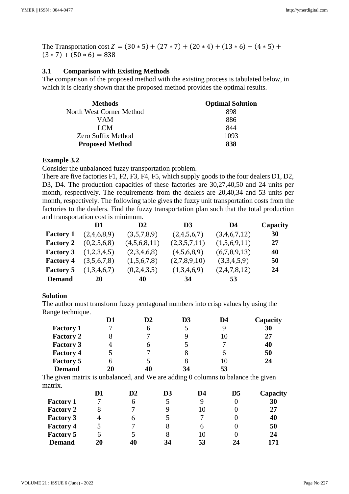The Transportation cost  $Z = (30 * 5) + (27 * 7) + (20 * 4) + (13 * 6) + (4 * 5) +$  $(3 * 7) + (50 * 6) = 838$ 

## **3.1 Comparison with Existing Methods**

The comparison of the proposed method with the existing process is tabulated below, in which it is clearly shown that the proposed method provides the optimal results.

| <b>Methods</b>           | <b>Optimal Solution</b> |
|--------------------------|-------------------------|
| North West Corner Method | 898                     |
| VAM                      | 886                     |
| LCM                      | 844                     |
| Zero Suffix Method       | 1093                    |
| <b>Proposed Method</b>   | 838                     |

#### **Example 3.2**

Consider the unbalanced fuzzy transportation problem.

There are five factories F1, F2, F3, F4, F5, which supply goods to the four dealers D1, D2, D3, D4. The production capacities of these factories are 30,27,40,50 and 24 units per month, respectively. The requirements from the dealers are 20,40,34 and 53 units per month, respectively. The following table gives the fuzzy unit transportation costs from the factories to the dealers. Find the fuzzy transportation plan such that the total production and transportation cost is minimum.

|                  | D1          | $\mathbf{D}2$ | D <sub>3</sub> | D4           | Capacity |
|------------------|-------------|---------------|----------------|--------------|----------|
| <b>Factory 1</b> | (2,4,6,8,9) | (3,5,7,8,9)   | (2,4,5,6,7)    | (3,4,6,7,12) | 30       |
| <b>Factory 2</b> | (0,2,5,6,8) | (4,5,6,8,11)  | (2,3,5,7,11)   | (1,5,6,9,11) | 27       |
| <b>Factory 3</b> | (1,2,3,4,5) | (2,3,4,6,8)   | (4,5,6,8,9)    | (6,7,8,9,13) | 40       |
| <b>Factory 4</b> | (3,5,6,7,8) | (1,5,6,7,8)   | (2,7,8,9,10)   | (3,3,4,5,9)  | 50       |
| <b>Factory 5</b> | (1,3,4,6,7) | (0,2,4,3,5)   | (1,3,4,6,9)    | (2,4,7,8,12) | 24       |
| <b>Demand</b>    | <b>20</b>   | 40            | -34            | 53           |          |

## **Solution**

The author must transform fuzzy pentagonal numbers into crisp values by using the Range technique.

|                  | D1 | $\mathbf{D}2$ | D <sub>3</sub> | D4 | Capacity |
|------------------|----|---------------|----------------|----|----------|
| <b>Factory 1</b> |    | 6             | 5              |    | 30       |
| <b>Factory 2</b> |    | 7             | 9              | 10 | 27       |
| <b>Factory 3</b> | 4  | b             |                |    | 40       |
| <b>Factory 4</b> | 5  |               | 8              | 6  | 50       |
| <b>Factory 5</b> |    | 5             | 8              | 10 | 24       |
| <b>Demand</b>    | 20 | 40            | 34             | 53 |          |

The given matrix is unbalanced, and We are adding 0 columns to balance the given matrix.

|                  | D1 | D <sub>2</sub> | D3 | D4 | $\mathbf{D}5$ | Capacity |
|------------------|----|----------------|----|----|---------------|----------|
| <b>Factory 1</b> | 7  | 6              |    |    |               | 30       |
| <b>Factory 2</b> | 8  | 7              |    | 10 |               | 27       |
| <b>Factory 3</b> | 4  | b              |    |    |               | 40       |
| <b>Factory 4</b> | 5  |                |    |    |               | 50       |
| <b>Factory 5</b> | 6  |                |    | 10 |               | 24       |
| <b>Demand</b>    | 20 | 40             | 34 | 53 | 24            | 171      |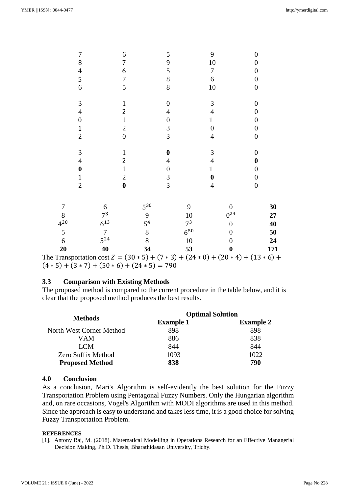| 5<br>6         | $\overline{7}$<br>$5^{24}$ | 8<br>8           | $6^{50}$<br>10   | 0<br>0           | 50<br>24 |
|----------------|----------------------------|------------------|------------------|------------------|----------|
| $4^{20}$       | $6^{13}$                   | 5 <sup>4</sup>   | 7 <sup>3</sup>   | 0                | 40       |
| 8              | $7^3$                      | 9                | 10               | $0^{24}$         | 27       |
| 7              | 6                          | $5^{30}$         | 9                | 0                | 30       |
| $\overline{2}$ | $\boldsymbol{0}$           | $\overline{3}$   | $\overline{4}$   | $\boldsymbol{0}$ |          |
| 1              | $\mathfrak{2}$             | 3                | $\bf{0}$         | $\boldsymbol{0}$ |          |
| 0              | $\mathbf{1}$               | $\overline{0}$   | 1                | 0                |          |
| 4              | $\overline{c}$             | 4                | $\overline{4}$   | 0                |          |
| 3              | 1                          | $\boldsymbol{0}$ | 3                | $\boldsymbol{0}$ |          |
| $\overline{2}$ | $\boldsymbol{0}$           | $\overline{3}$   | $\overline{4}$   | $\boldsymbol{0}$ |          |
| 1              | $\overline{c}$             | 3                | $\boldsymbol{0}$ | $\boldsymbol{0}$ |          |
| 0              | 1                          | $\boldsymbol{0}$ | $\mathbf{1}$     | 0                |          |
| 4              | 2                          | 4                | $\overline{4}$   | $\boldsymbol{0}$ |          |
| 3              | $\mathbf{1}$               | $\boldsymbol{0}$ | 3                | $\boldsymbol{0}$ |          |
| 6              | 5                          | 8                | 10               | $\boldsymbol{0}$ |          |
| 5              | 7                          | $8\,$            | 6                | $\overline{0}$   |          |
| 4              | 6                          | 5                | 7                | 0                |          |
| 8              | 7                          | 9                | 10               | 0                |          |
| 7              | 6                          | 5                | 9                | 0                |          |

 $(4 * 5) + (3 * 7) + (50 * 6) + (24 * 5) = 790$ 

## **3.3 Comparison with Existing Methods**

The proposed method is compared to the current procedure in the table below, and it is clear that the proposed method produces the best results.

| <b>Methods</b>           | <b>Optimal Solution</b> |                  |
|--------------------------|-------------------------|------------------|
|                          | <b>Example 1</b>        | <b>Example 2</b> |
| North West Corner Method | 898                     | 898              |
| VAM                      | 886                     | 838              |
| LCM                      | 844                     | 844              |
| Zero Suffix Method       | 1093                    | 1022             |
| <b>Proposed Method</b>   | 838                     | 790              |

## **4.0 Conclusion**

As a conclusion, Mari's Algorithm is self-evidently the best solution for the Fuzzy Transportation Problem using Pentagonal Fuzzy Numbers. Only the Hungarian algorithm and, on rare occasions, Vogel's Algorithm with MODI algorithms are used in this method. Since the approach is easy to understand and takes less time, it is a good choice for solving Fuzzy Transportation Problem.

#### **REFERENCES**

[1]. Antony Raj, M. (2018). Matematical Modelling in Operations Research for an Effective Managerial Decision Making, Ph.D. Thesis, Bharathidasan University, Trichy.